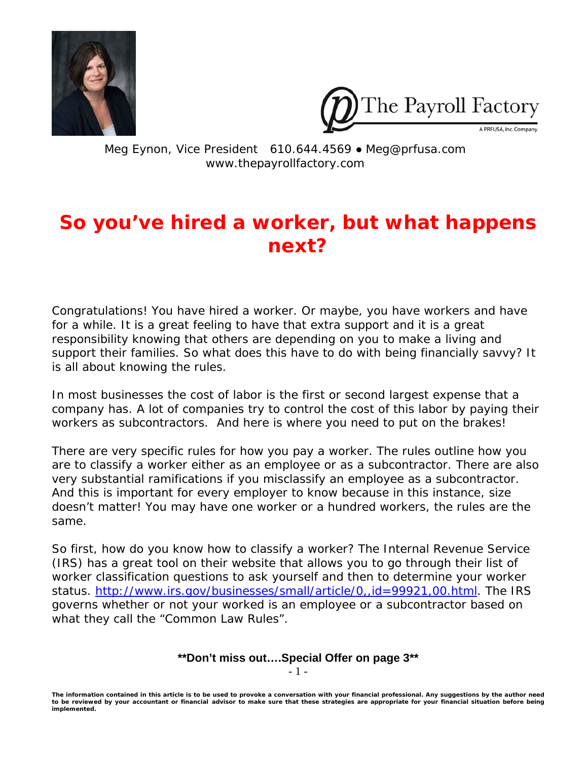



Meg Eynon, Vice President 610.644.4569 ● Meg@prfusa.com www.thepayrollfactory.com

# **So you've hired a worker, but what happens next?**

Congratulations! You have hired a worker. Or maybe, you have workers and have for a while. It is a great feeling to have that extra support and it is a great responsibility knowing that others are depending on you to make a living and support their families. So what does this have to do with being financially savvy? It is all about knowing the rules.

In most businesses the cost of labor is the first or second largest expense that a company has. A lot of companies try to control the cost of this labor by paying their workers as subcontractors. And here is where you need to put on the brakes!

There are very specific rules for how you pay a worker. The rules outline how you are to classify a worker either as an employee or as a subcontractor. There are also very substantial ramifications if you misclassify an employee as a subcontractor. And this is important for every employer to know because in this instance, size doesn't matter! You may have one worker or a hundred workers, the rules are the same.

So first, how do you know how to classify a worker? The Internal Revenue Service (IRS) has a great tool on their website that allows you to go through their list of worker classification questions to ask yourself and then to determine your worker status.<http://www.irs.gov/businesses/small/article/0,,id=99921,00.html>. The IRS governs whether or not your worked is an employee or a subcontractor based on what they call the "Common Law Rules".

#### **\*\*Don't miss out….Special Offer on page 3\*\***  - 1 -

*The information contained in this article is to be used to provoke a conversation with your financial professional. Any suggestions by the author need to be reviewed by your accountant or financial advisor to make sure that these strategies are appropriate for your financial situation before being implemented.*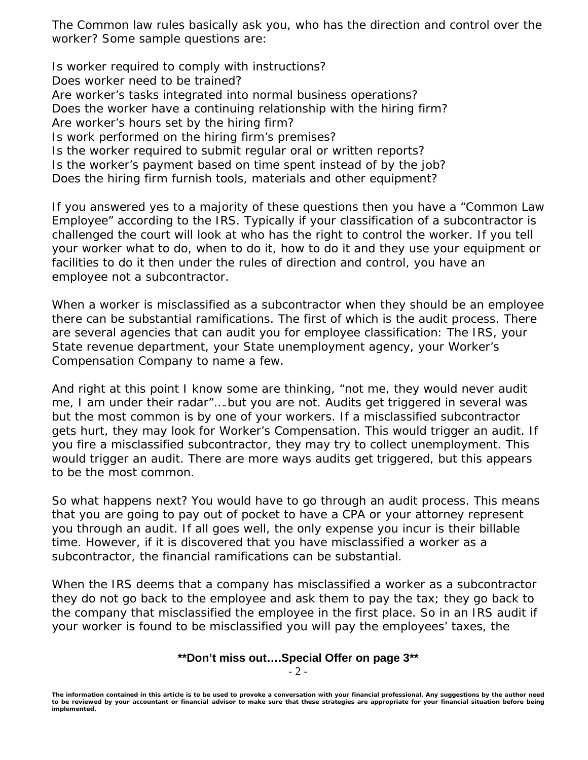The Common law rules basically ask you, who has the direction and control over the worker? Some sample questions are:

Is worker required to comply with instructions? Does worker need to be trained? Are worker's tasks integrated into normal business operations? Does the worker have a continuing relationship with the hiring firm? Are worker's hours set by the hiring firm? Is work performed on the hiring firm's premises? Is the worker required to submit regular oral or written reports? Is the worker's payment based on time spent instead of by the job? Does the hiring firm furnish tools, materials and other equipment?

If you answered yes to a majority of these questions then you have a "Common Law Employee" according to the IRS. Typically if your classification of a subcontractor is challenged the court will look at who has the right to control the worker. If you tell your worker what to do, when to do it, how to do it and they use your equipment or facilities to do it then under the rules of direction and control, you have an employee not a subcontractor.

When a worker is misclassified as a subcontractor when they should be an employee there can be substantial ramifications. The first of which is the audit process. There are several agencies that can audit you for employee classification: The IRS, your State revenue department, your State unemployment agency, your Worker's Compensation Company to name a few.

And right at this point I know some are thinking, "not me, they would never audit me, I am under their radar"….but you are not. Audits get triggered in several was but the most common is by one of your workers. If a misclassified subcontractor gets hurt, they may look for Worker's Compensation. This would trigger an audit. If you fire a misclassified subcontractor, they may try to collect unemployment. This would trigger an audit. There are more ways audits get triggered, but this appears to be the most common.

So what happens next? You would have to go through an audit process. This means that you are going to pay out of pocket to have a CPA or your attorney represent you through an audit. If all goes well, the only expense you incur is their billable time. However, if it is discovered that you have misclassified a worker as a subcontractor, the financial ramifications can be substantial.

When the IRS deems that a company has misclassified a worker as a subcontractor they do not go back to the employee and ask them to pay the tax; they go back to the company that misclassified the employee in the first place. So in an IRS audit if your worker is found to be misclassified you will pay the employees' taxes, the

## **\*\*Don't miss out….Special Offer on page 3\*\***

- 2 -

*The information contained in this article is to be used to provoke a conversation with your financial professional. Any suggestions by the author need to be reviewed by your accountant or financial advisor to make sure that these strategies are appropriate for your financial situation before being implemented.*